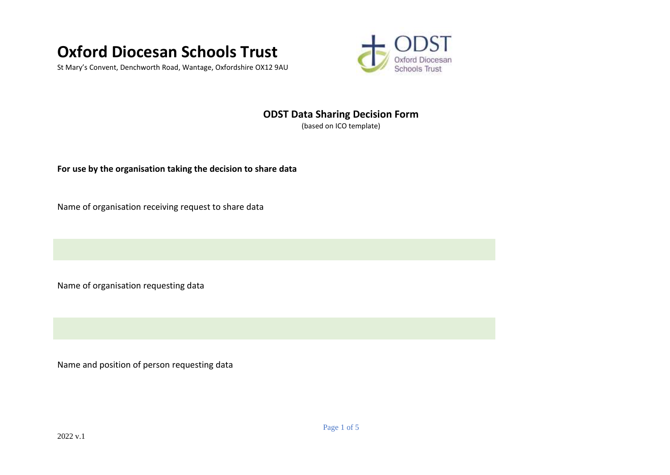

St Mary's Convent, Denchworth Road, Wantage, Oxfordshire OX12 9AU



## **ODST Data Sharing Decision Form**

(based on ICO template)

**For use by the organisation taking the decision to share data**

Name of organisation receiving request to share data

Name of organisation requesting data

Name and position of person requesting data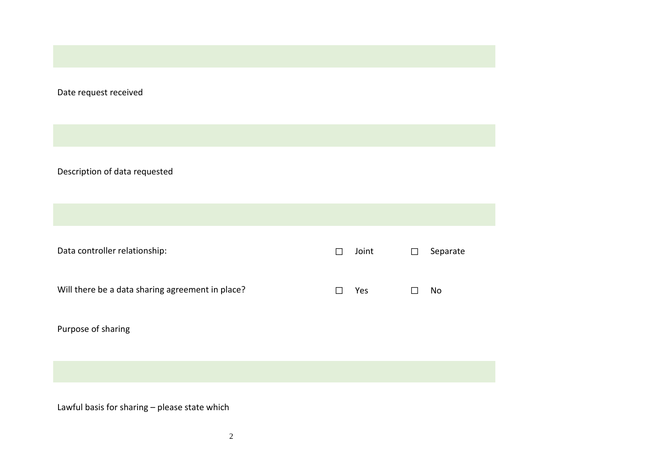Date request received

Description of data requested

Data controller relationship: ☐ Joint ☐ Separate Will there be a data sharing agreement in place? ☐ Yes ☐ No Purpose of sharing

Lawful basis for sharing – please state which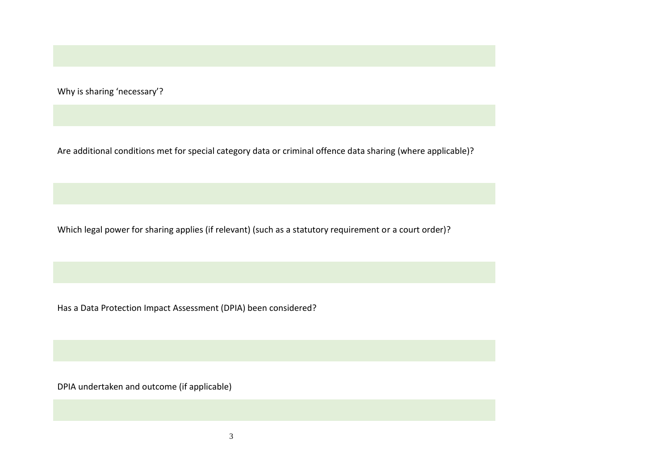Why is sharing 'necessary'?

Are additional conditions met for special category data or criminal offence data sharing (where applicable)?

Which legal power for sharing applies (if relevant) (such as a statutory requirement or a court order)?

Has a Data Protection Impact Assessment (DPIA) been considered?

DPIA undertaken and outcome (if applicable)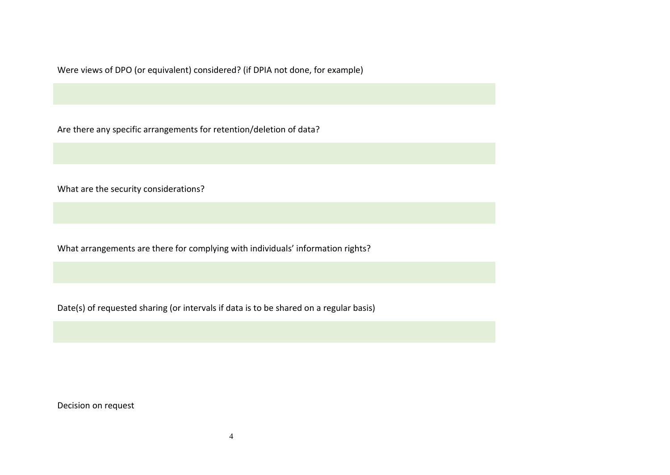Were views of DPO (or equivalent) considered? (if DPIA not done, for example)

Are there any specific arrangements for retention/deletion of data?

What are the security considerations?

What arrangements are there for complying with individuals' information rights?

Date(s) of requested sharing (or intervals if data is to be shared on a regular basis)

Decision on request